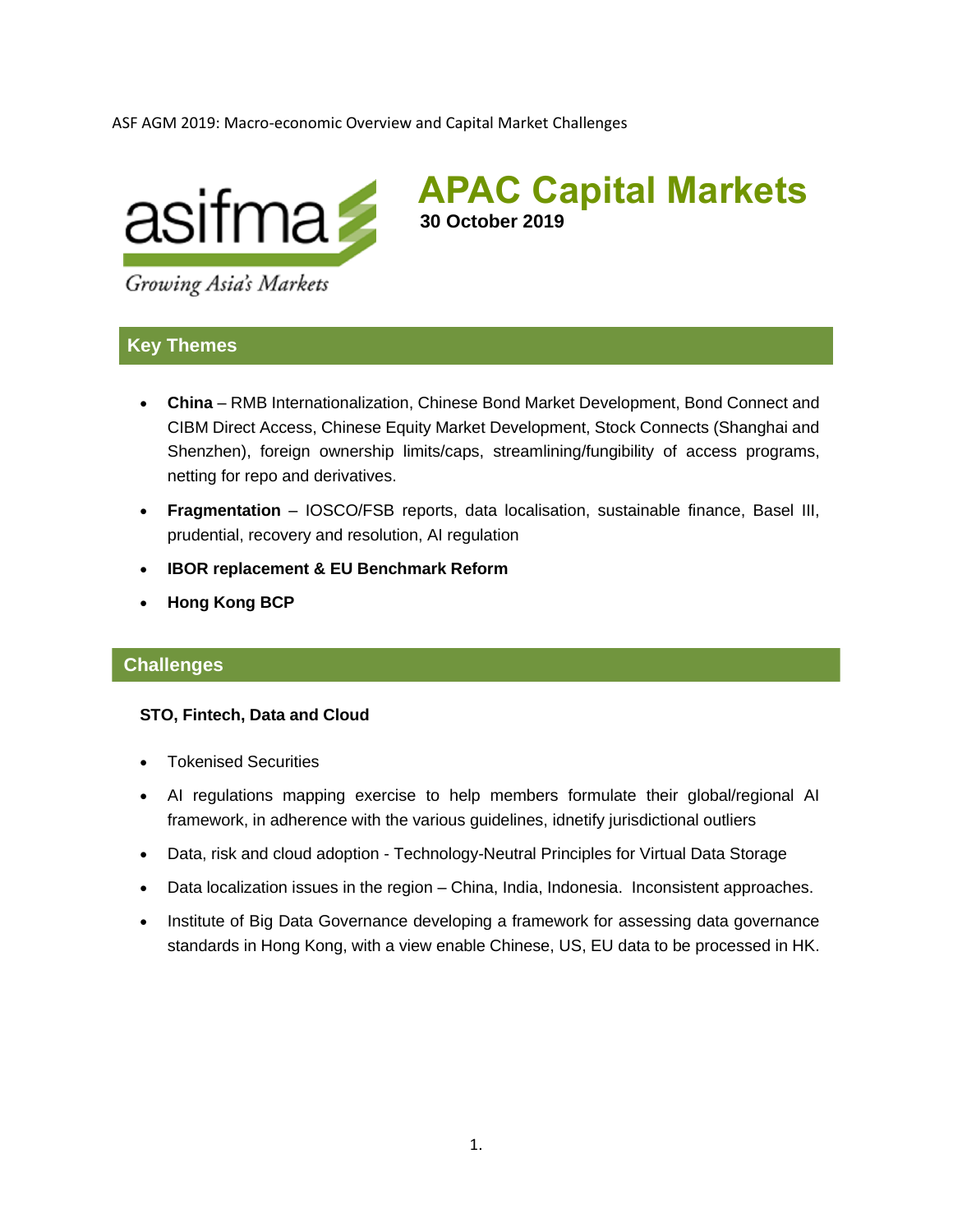ASF AGM 2019: Macro-economic Overview and Capital Market Challenges



**APAC Capital Markets 30 October 2019**

Growing Asia's Markets

# **Key Themes**

- **China**  RMB Internationalization, Chinese Bond Market Development, Bond Connect and CIBM Direct Access, Chinese Equity Market Development, Stock Connects (Shanghai and Shenzhen), foreign ownership limits/caps, streamlining/fungibility of access programs, netting for repo and derivatives.
- **Fragmentation** IOSCO/FSB reports, data localisation, sustainable finance, Basel III, prudential, recovery and resolution, AI regulation
- **IBOR replacement & EU Benchmark Reform**
- **Hong Kong BCP**

### **Challenges**

#### **STO, Fintech, Data and Cloud**

- Tokenised Securities
- AI regulations mapping exercise to help members formulate their global/regional AI framework, in adherence with the various guidelines, idnetify jurisdictional outliers
- Data, risk and cloud adoption [Technology-Neutral Principles for Virtual Data Storage](https://www.asifma.org/wp-content/uploads/2019/08/2019-06-virtual-data-storage-principles.pdf)
- Data localization issues in the region China, India, Indonesia. Inconsistent approaches.
- Institute of Big Data Governance developing a framework for assessing data governance standards in Hong Kong, with a view enable Chinese, US, EU data to be processed in HK.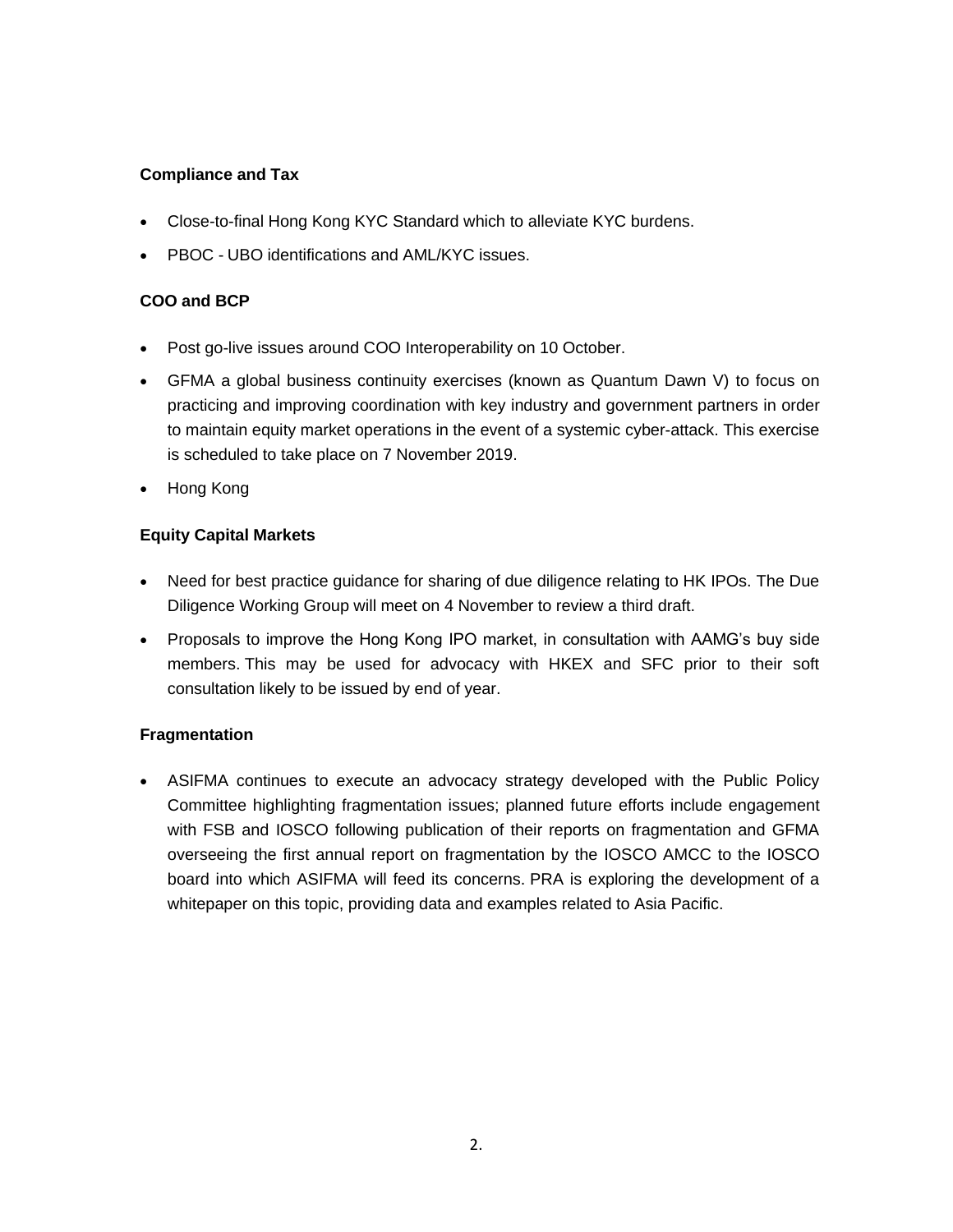## **Compliance and Tax**

- Close-to-final Hong Kong KYC Standard which to alleviate KYC burdens.
- PBOC UBO identifications and AML/KYC issues.

## **COO and BCP**

- Post go-live issues around COO Interoperability on 10 October.
- GFMA a global business continuity exercises (known as Quantum Dawn V) to focus on practicing and improving coordination with key industry and government partners in order to maintain equity market operations in the event of a systemic cyber-attack. This exercise is scheduled to take place on 7 November 2019.
- Hong Kong

## **Equity Capital Markets**

- Need for best practice guidance for sharing of due diligence relating to HK IPOs. The Due Diligence Working Group will meet on 4 November to review a third draft.
- Proposals to improve the Hong Kong IPO market, in consultation with AAMG's buy side members. This may be used for advocacy with HKEX and SFC prior to their soft consultation likely to be issued by end of year.

### **Fragmentation**

• ASIFMA continues to execute an advocacy strategy developed with the Public Policy Committee highlighting fragmentation issues; planned future efforts include engagement with FSB and IOSCO following publication of their reports on fragmentation and GFMA overseeing the first annual report on fragmentation by the IOSCO AMCC to the IOSCO board into which ASIFMA will feed its concerns. PRA is exploring the development of a whitepaper on this topic, providing data and examples related to Asia Pacific.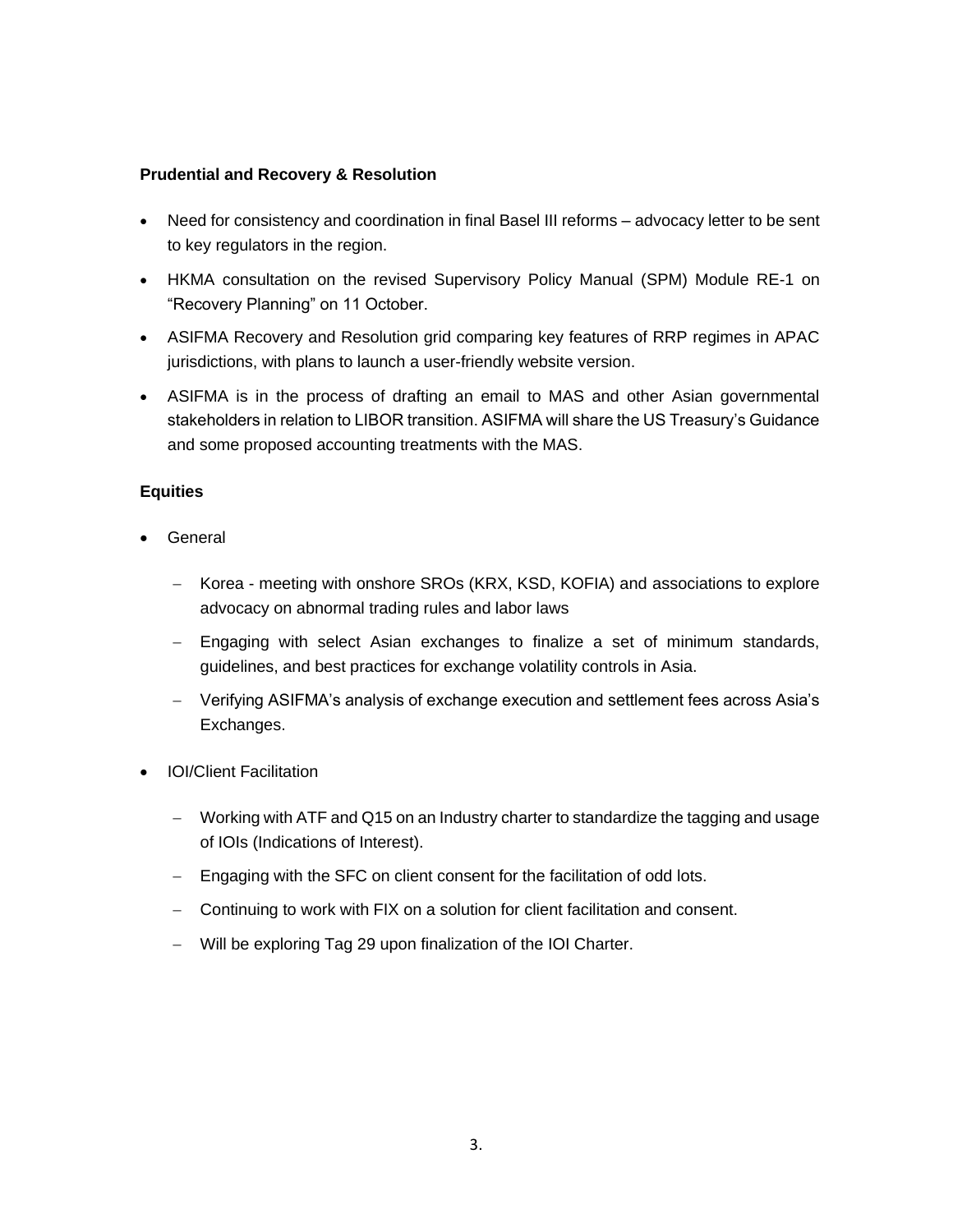#### **Prudential and Recovery & Resolution**

- Need for consistency and coordination in final Basel III reforms advocacy letter to be sent to key regulators in the region.
- HKMA consultation on the revised Supervisory Policy Manual (SPM) Module RE-1 on "Recovery Planning" on 11 October.
- ASIFMA Recovery and Resolution grid comparing key features of RRP regimes in APAC jurisdictions, with plans to launch a user-friendly website version.
- ASIFMA is in the process of drafting an email to MAS and other Asian governmental stakeholders in relation to LIBOR transition. ASIFMA will share the US Treasury's Guidance and some proposed accounting treatments with the MAS.

### **Equities**

- **General** 
	- − Korea meeting with onshore SROs (KRX, KSD, KOFIA) and associations to explore advocacy on abnormal trading rules and labor laws
	- − Engaging with select Asian exchanges to finalize a set of minimum standards, guidelines, and best practices for exchange volatility controls in Asia.
	- − Verifying ASIFMA's analysis of exchange execution and settlement fees across Asia's Exchanges.
- IOI/Client Facilitation
	- − Working with ATF and Q15 on an Industry charter to standardize the tagging and usage of IOIs (Indications of Interest).
	- − Engaging with the SFC on client consent for the facilitation of odd lots.
	- − Continuing to work with FIX on a solution for client facilitation and consent.
	- − Will be exploring Tag 29 upon finalization of the IOI Charter.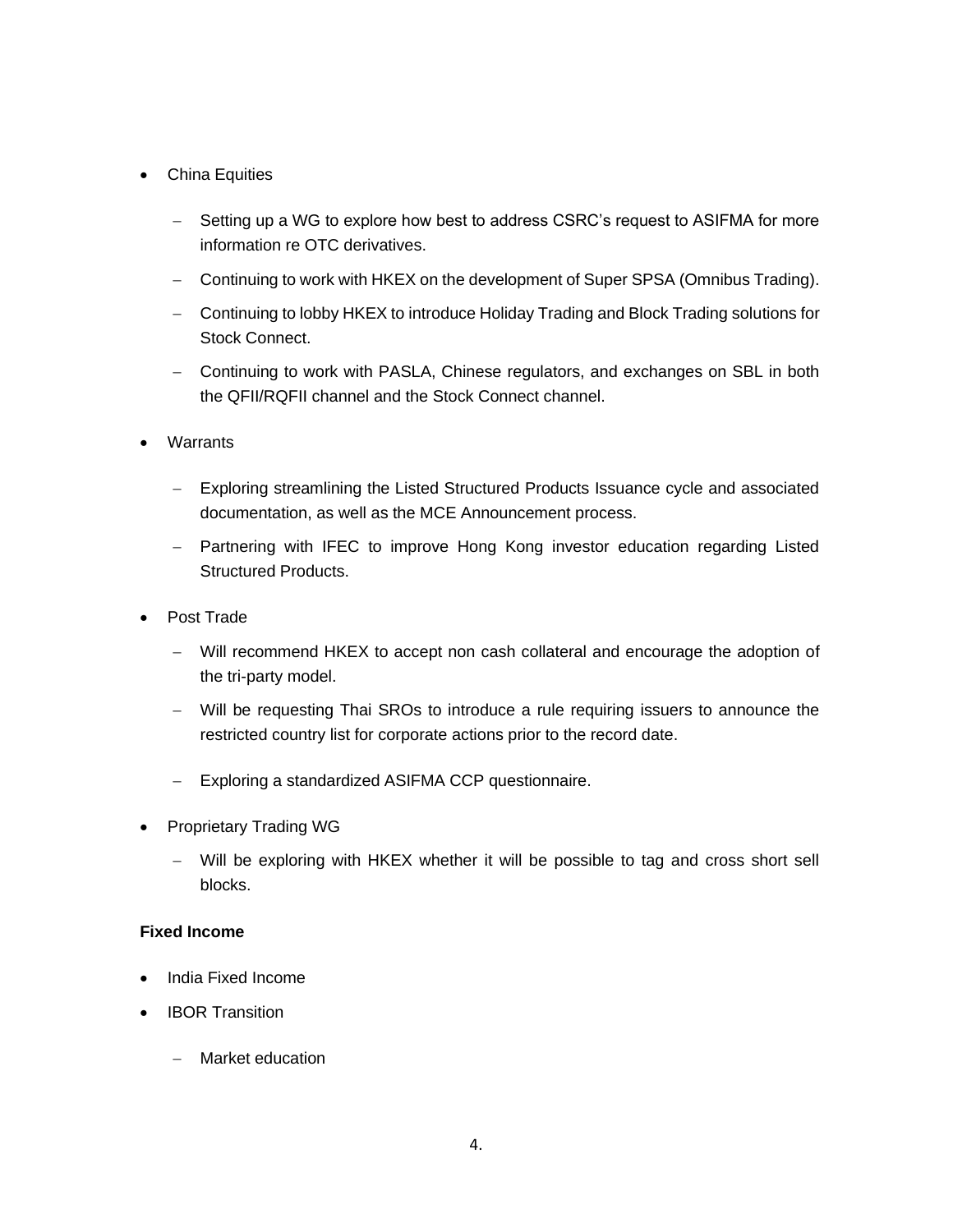## • China Equities

- − Setting up a WG to explore how best to address CSRC's request to ASIFMA for more information re OTC derivatives.
- − Continuing to work with HKEX on the development of Super SPSA (Omnibus Trading).
- − Continuing to lobby HKEX to introduce Holiday Trading and Block Trading solutions for Stock Connect.
- − Continuing to work with PASLA, Chinese regulators, and exchanges on SBL in both the QFII/RQFII channel and the Stock Connect channel.
- Warrants
	- − Exploring streamlining the Listed Structured Products Issuance cycle and associated documentation, as well as the MCE Announcement process.
	- − Partnering with IFEC to improve Hong Kong investor education regarding Listed Structured Products.
- Post Trade
	- − Will recommend HKEX to accept non cash collateral and encourage the adoption of the tri-party model.
	- − Will be requesting Thai SROs to introduce a rule requiring issuers to announce the restricted country list for corporate actions prior to the record date.
	- − Exploring a standardized ASIFMA CCP questionnaire.
- Proprietary Trading WG
	- − Will be exploring with HKEX whether it will be possible to tag and cross short sell blocks.

### **Fixed Income**

- India Fixed Income
- IBOR Transition
	- − Market education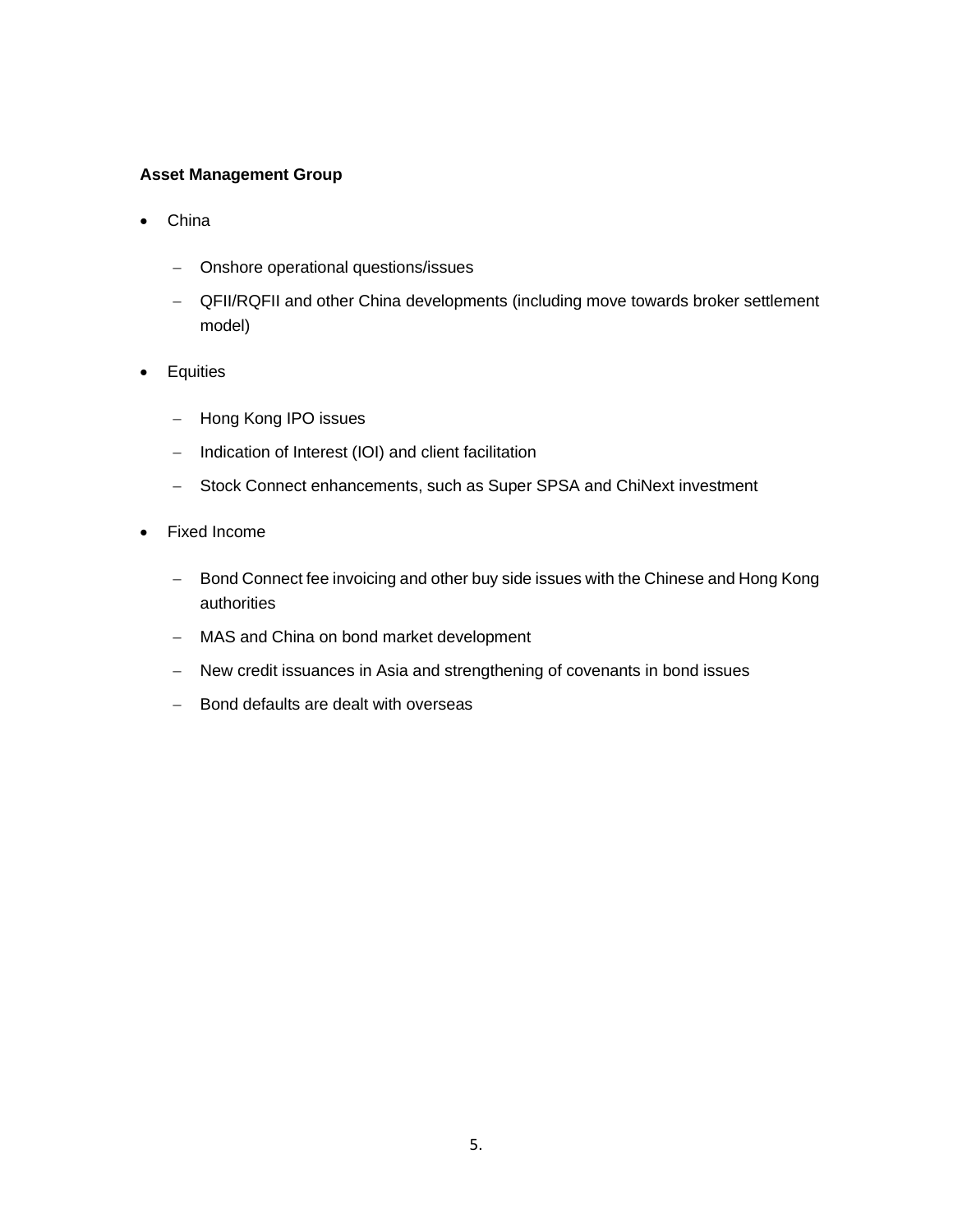#### **Asset Management Group**

- China
	- − Onshore operational questions/issues
	- − QFII/RQFII and other China developments (including move towards broker settlement model)
- Equities
	- − Hong Kong IPO issues
	- − Indication of Interest (IOI) and client facilitation
	- − Stock Connect enhancements, such as Super SPSA and ChiNext investment
- Fixed Income
	- − Bond Connect fee invoicing and other buy side issues with the Chinese and Hong Kong authorities
	- − MAS and China on bond market development
	- − New credit issuances in Asia and strengthening of covenants in bond issues
	- − Bond defaults are dealt with overseas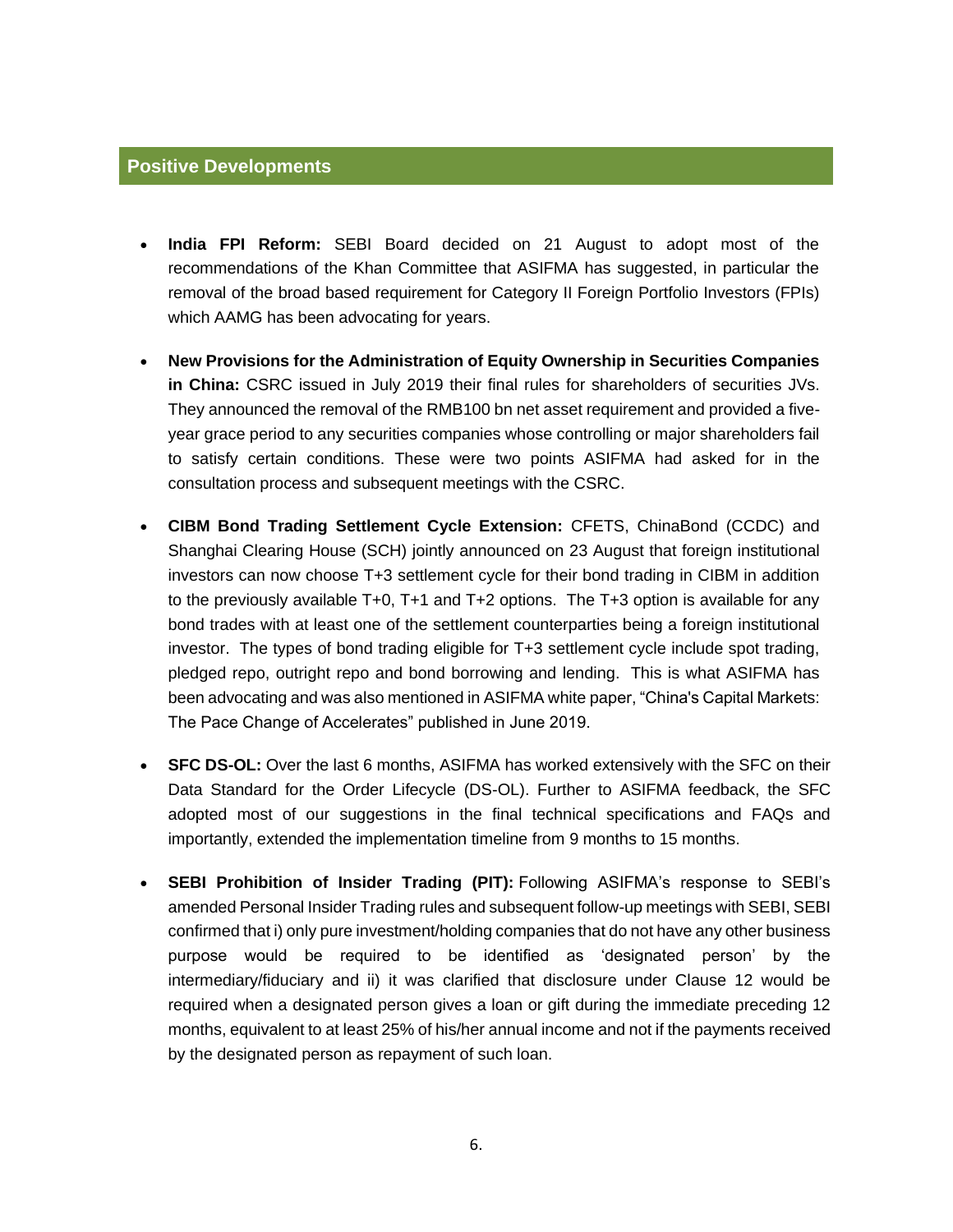#### **Positive Developments**

- **India FPI Reform:** SEBI Board decided on 21 August to adopt most of the recommendations of the Khan Committee that ASIFMA has suggested, in particular the removal of the broad based requirement for Category II Foreign Portfolio Investors (FPIs) which AAMG has been advocating for years.
- **New Provisions for the Administration of Equity Ownership in Securities Companies in China:** CSRC issued in July 2019 their final rules for shareholders of securities JVs. They announced the removal of the RMB100 bn net asset requirement and provided a fiveyear grace period to any securities companies whose controlling or major shareholders fail to satisfy certain conditions. These were two points ASIFMA had asked for in the consultation process and subsequent meetings with the CSRC.
- **CIBM Bond Trading Settlement Cycle Extension:** CFETS, ChinaBond (CCDC) and Shanghai Clearing House (SCH) jointly announced on 23 August that foreign institutional investors can now choose T+3 settlement cycle for their bond trading in CIBM in addition to the previously available T+0, T+1 and T+2 options. The T+3 option is available for any bond trades with at least one of the settlement counterparties being a foreign institutional investor. The types of bond trading eligible for T+3 settlement cycle include spot trading, pledged repo, outright repo and bond borrowing and lending. This is what ASIFMA has been advocating and was also mentioned in ASIFMA white paper, "China's Capital Markets: The Pace Change of Accelerates" published in June 2019.
- **SFC DS-OL:** Over the last 6 months, ASIFMA has worked extensively with the SFC on their Data Standard for the Order Lifecycle (DS-OL). Further to ASIFMA feedback, the SFC adopted most of our suggestions in the final technical specifications and FAQs and importantly, extended the implementation timeline from 9 months to 15 months.
- **SEBI Prohibition of Insider Trading (PIT):** Following ASIFMA's response to SEBI's amended Personal Insider Trading rules and subsequent follow-up meetings with SEBI, SEBI confirmed that i) only pure investment/holding companies that do not have any other business purpose would be required to be identified as 'designated person' by the intermediary/fiduciary and ii) it was clarified that disclosure under Clause 12 would be required when a designated person gives a loan or gift during the immediate preceding 12 months, equivalent to at least 25% of his/her annual income and not if the payments received by the designated person as repayment of such loan.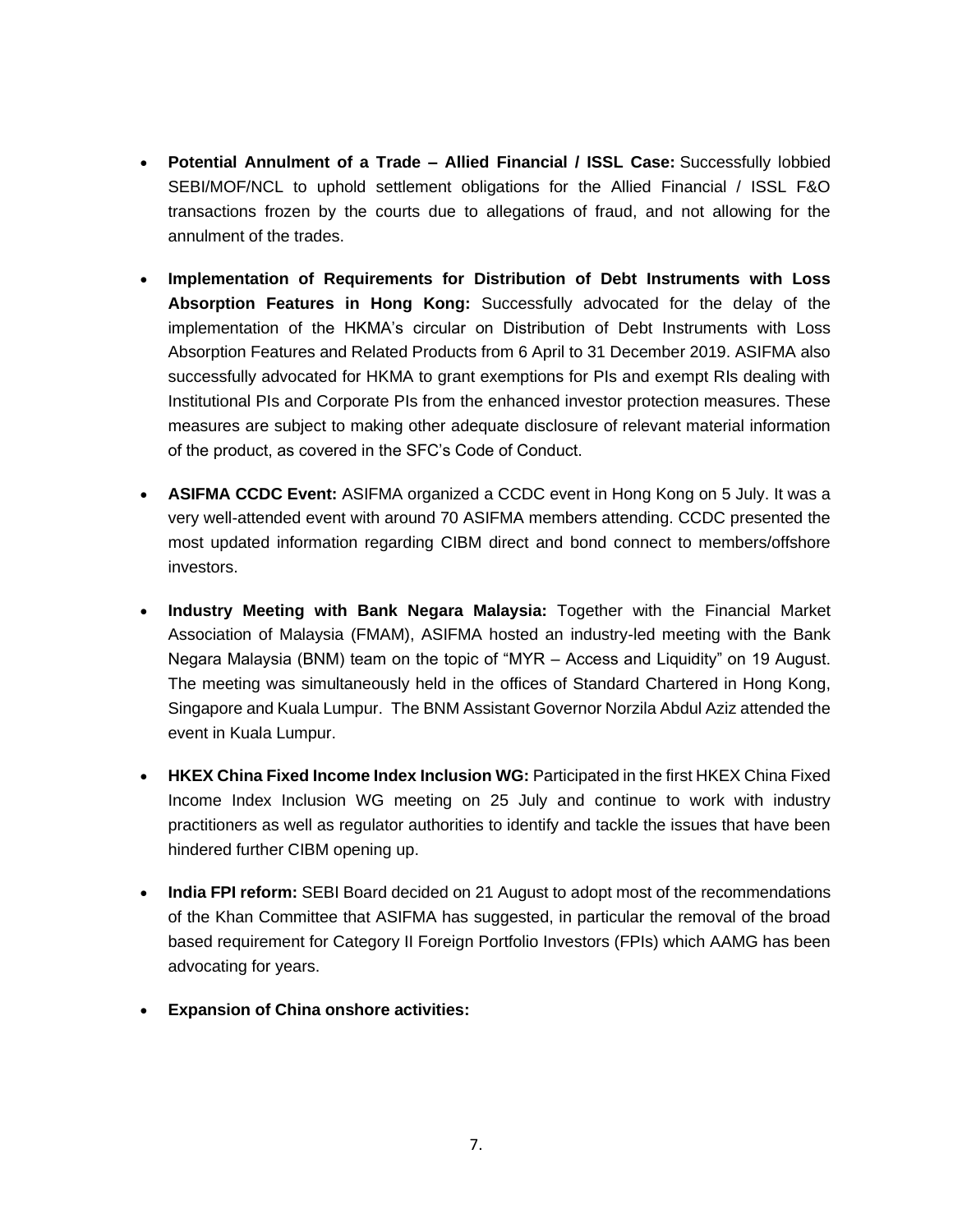- **Potential Annulment of a Trade – Allied Financial / ISSL Case:** Successfully lobbied SEBI/MOF/NCL to uphold settlement obligations for the Allied Financial / ISSL F&O transactions frozen by the courts due to allegations of fraud, and not allowing for the annulment of the trades.
- **Implementation of Requirements for Distribution of Debt Instruments with Loss Absorption Features in Hong Kong:** Successfully advocated for the delay of the implementation of the HKMA's circular on Distribution of Debt Instruments with Loss Absorption Features and Related Products from 6 April to 31 December 2019. ASIFMA also successfully advocated for HKMA to grant exemptions for PIs and exempt RIs dealing with Institutional PIs and Corporate PIs from the enhanced investor protection measures. These measures are subject to making other adequate disclosure of relevant material information of the product, as covered in the SFC's Code of Conduct.
- **ASIFMA CCDC Event:** ASIFMA organized a CCDC event in Hong Kong on 5 July. It was a very well-attended event with around 70 ASIFMA members attending. CCDC presented the most updated information regarding CIBM direct and bond connect to members/offshore investors.
- **Industry Meeting with Bank Negara Malaysia:** Together with the Financial Market Association of Malaysia (FMAM), ASIFMA hosted an industry-led meeting with the Bank Negara Malaysia (BNM) team on the topic of "MYR – Access and Liquidity" on 19 August. The meeting was simultaneously held in the offices of Standard Chartered in Hong Kong, Singapore and Kuala Lumpur. The BNM Assistant Governor Norzila Abdul Aziz attended the event in Kuala Lumpur.
- **HKEX China Fixed Income Index Inclusion WG:** Participated in the first HKEX China Fixed Income Index Inclusion WG meeting on 25 July and continue to work with industry practitioners as well as regulator authorities to identify and tackle the issues that have been hindered further CIBM opening up.
- **India FPI reform:** SEBI Board decided on 21 August to adopt most of the recommendations of the Khan Committee that ASIFMA has suggested, in particular the removal of the broad based requirement for Category II Foreign Portfolio Investors (FPIs) which AAMG has been advocating for years.
- **Expansion of China onshore activities:**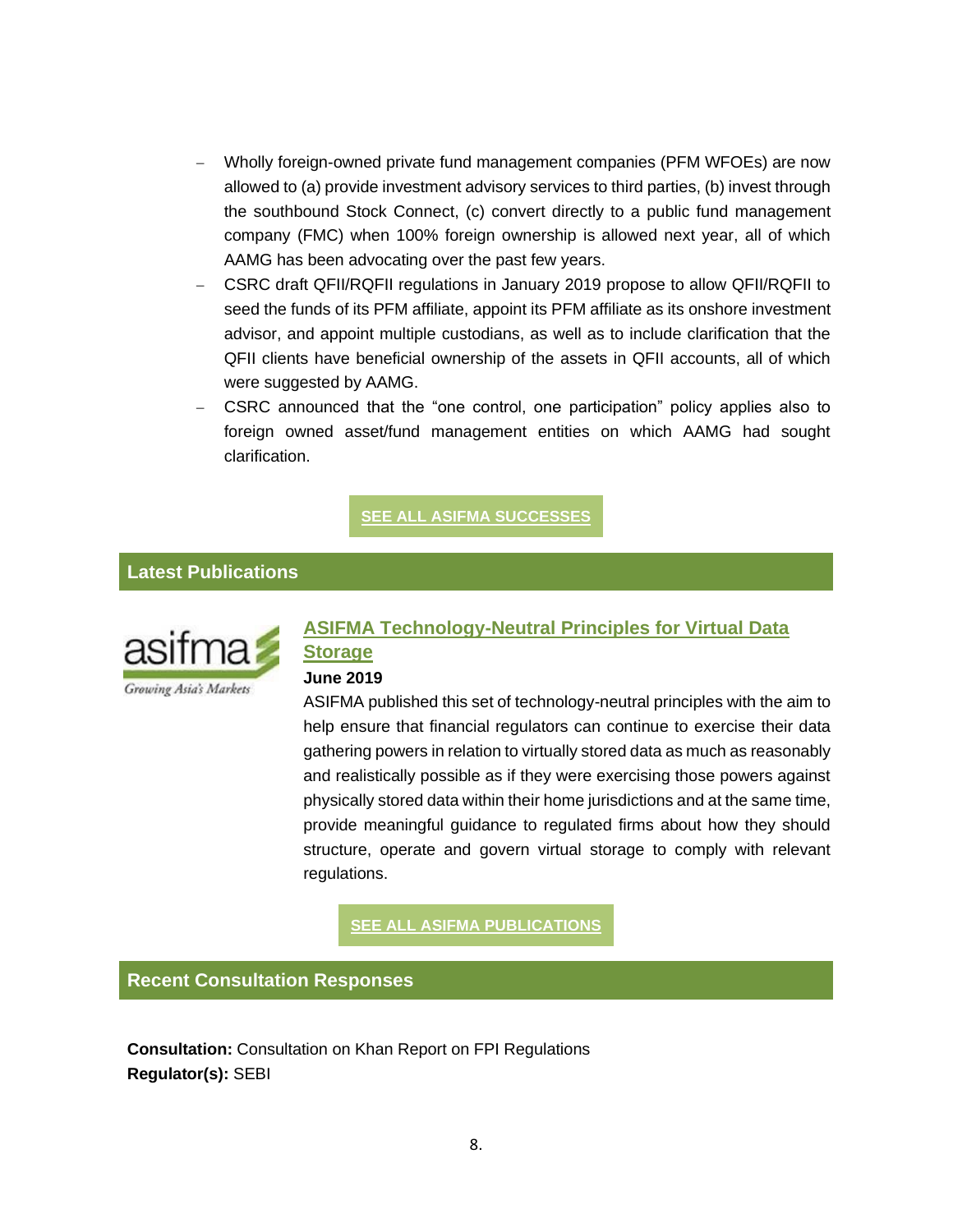- Wholly foreign-owned private fund management companies (PFM WFOEs) are now allowed to (a) provide investment advisory services to third parties, (b) invest through the southbound Stock Connect, (c) convert directly to a public fund management company (FMC) when 100% foreign ownership is allowed next year, all of which AAMG has been advocating over the past few years.
- − CSRC draft QFII/RQFII regulations in January 2019 propose to allow QFII/RQFII to seed the funds of its PFM affiliate, appoint its PFM affiliate as its onshore investment advisor, and appoint multiple custodians, as well as to include clarification that the QFII clients have beneficial ownership of the assets in QFII accounts, all of which were suggested by AAMG.
- − CSRC announced that the "one control, one participation" policy applies also to foreign owned asset/fund management entities on which AAMG had sought clarification.

**SEE ALL ASIFMA [SUCCESSES](https://t.e2ma.net/click/pgl3zc/5sh94s/1ldiqm)**

### **Latest Publications**



# **[ASIFMA Technology-Neutral Principles for Virtual Data](https://t.e2ma.net/click/pgl3zc/5sh94s/heeiqm)  [Storage](https://t.e2ma.net/click/pgl3zc/5sh94s/heeiqm)**

#### **June 2019**

ASIFMA published this set of technology-neutral principles with the aim to help ensure that financial regulators can continue to exercise their data gathering powers in relation to virtually stored data as much as reasonably and realistically possible as if they were exercising those powers against physically stored data within their home jurisdictions and at the same time, provide meaningful guidance to regulated firms about how they should structure, operate and govern virtual storage to comply with relevant regulations.

**SEE ALL ASIFMA [PUBLICATIONS](https://t.e2ma.net/click/pgl3zc/5sh94s/x6eiqm)**

**Recent Consultation Responses**

**Consultation:** Consultation on Khan Report on FPI Regulations **Regulator(s):** SEBI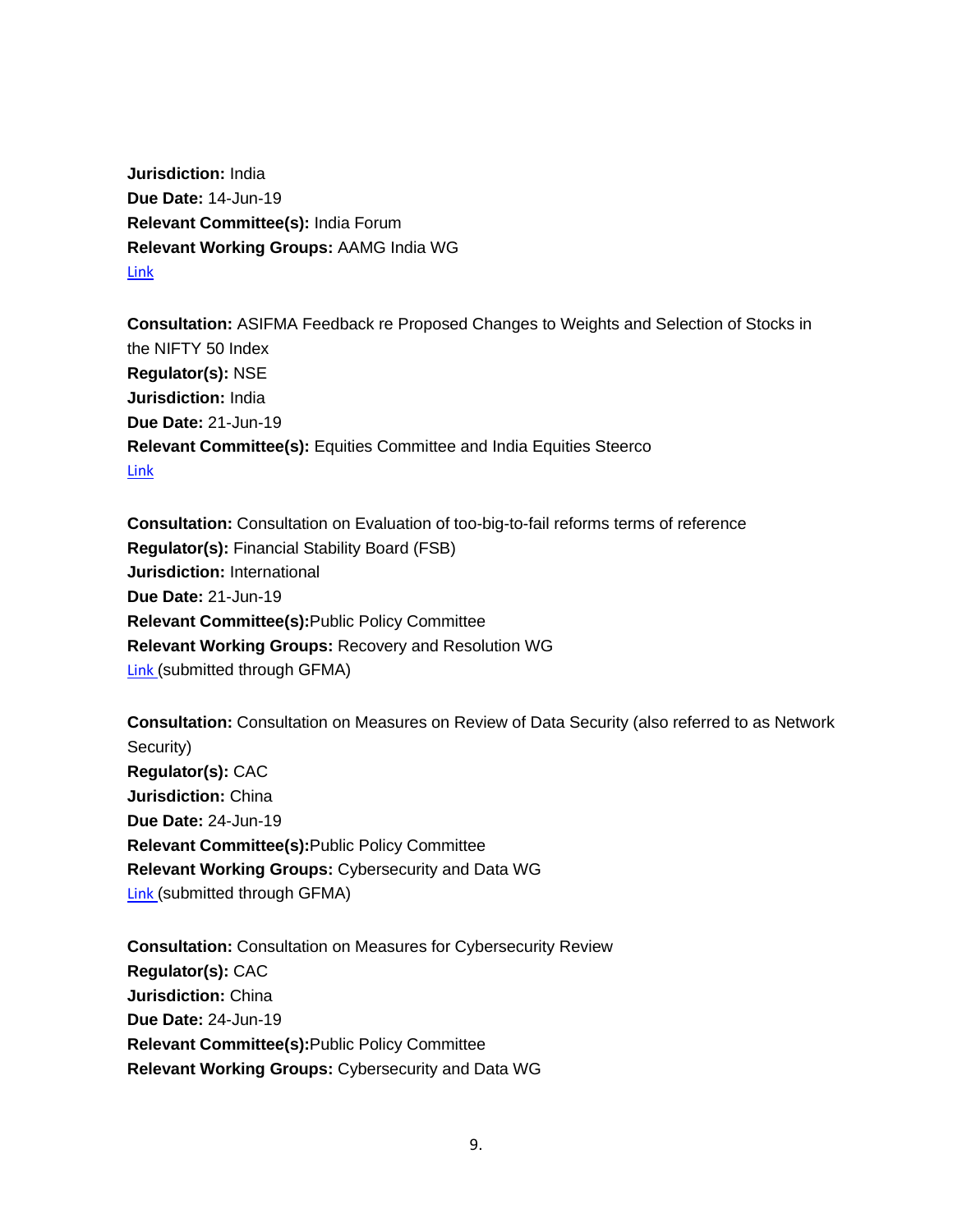**Jurisdiction:** India **Due Date:** 14-Jun-19 **Relevant Committee(s):** India Forum **Relevant Working Groups:** AAMG India WG [Link](https://t.e2ma.net/click/pgl3zc/5sh94s/dzfiqm)

**Consultation:** ASIFMA Feedback re Proposed Changes to Weights and Selection of Stocks in the NIFTY 50 Index **Regulator(s):** NSE **Jurisdiction:** India **Due Date:** 21-Jun-19 **Relevant Committee(s):** Equities Committee and India Equities Steerco **[Link](https://t.e2ma.net/click/pgl3zc/5sh94s/trgiqm)** 

**Consultation:** Consultation on Evaluation of too-big-to-fail reforms terms of reference **Regulator(s):** Financial Stability Board (FSB) **Jurisdiction:** International **Due Date:** 21-Jun-19 **Relevant Committee(s):**Public Policy Committee **Relevant Working Groups:** Recovery and Resolution WG [Link](https://t.e2ma.net/click/pgl3zc/5sh94s/9jhiqm) (submitted through GFMA)

**Consultation:** Consultation on Measures on Review of Data Security (also referred to as Network Security) **Regulator(s):** CAC **Jurisdiction:** China **Due Date:** 24-Jun-19 **Relevant Committee(s):**Public Policy Committee **Relevant Working Groups:** Cybersecurity and Data WG [Link](https://t.e2ma.net/click/pgl3zc/5sh94s/pciiqm) (submitted through GFMA)

**Consultation:** Consultation on Measures for Cybersecurity Review **Regulator(s):** CAC **Jurisdiction:** China **Due Date:** 24-Jun-19 **Relevant Committee(s):**Public Policy Committee **Relevant Working Groups:** Cybersecurity and Data WG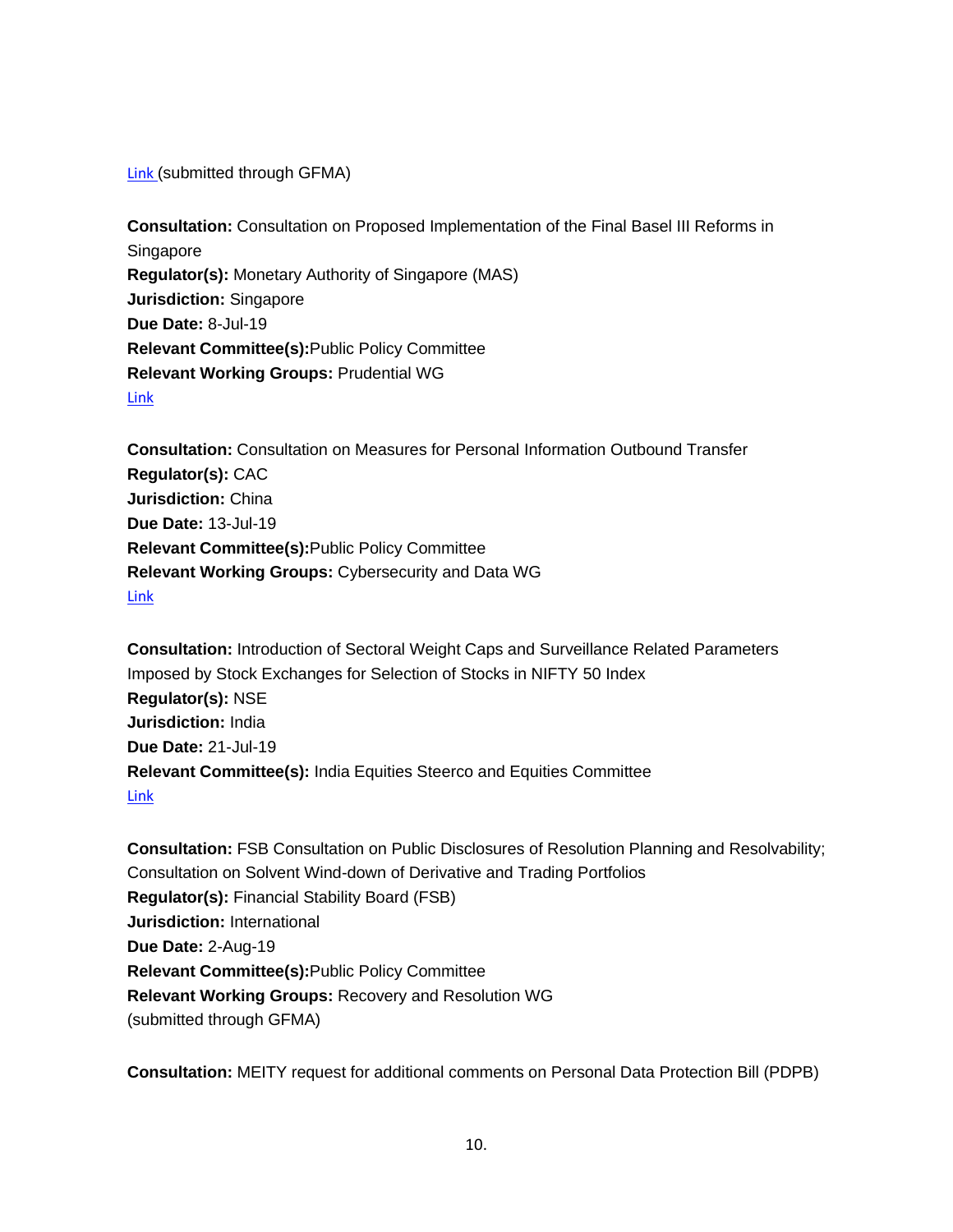[Link](https://t.e2ma.net/click/pgl3zc/5sh94s/54iiqm) (submitted through GFMA)

**Consultation:** Consultation on Proposed Implementation of the Final Basel III Reforms in Singapore **Regulator(s):** Monetary Authority of Singapore (MAS) **Jurisdiction:** Singapore **Due Date:** 8-Jul-19 **Relevant Committee(s):**Public Policy Committee **Relevant Working Groups:** Prudential WG [Link](https://t.e2ma.net/click/pgl3zc/5sh94s/lxjiqm)

**Consultation:** Consultation on Measures for Personal Information Outbound Transfer **Regulator(s):** CAC **Jurisdiction:** China **Due Date:** 13-Jul-19 **Relevant Committee(s):**Public Policy Committee **Relevant Working Groups:** Cybersecurity and Data WG [Link](https://t.e2ma.net/click/pgl3zc/5sh94s/1pkiqm)

**Consultation:** Introduction of Sectoral Weight Caps and Surveillance Related Parameters Imposed by Stock Exchanges for Selection of Stocks in NIFTY 50 Index **Regulator(s):** NSE **Jurisdiction:** India **Due Date:** 21-Jul-19 **Relevant Committee(s):** India Equities Steerco and Equities Committee [Link](https://t.e2ma.net/click/pgl3zc/5sh94s/hiliqm)

**Consultation:** FSB Consultation on Public Disclosures of Resolution Planning and Resolvability; Consultation on Solvent Wind-down of Derivative and Trading Portfolios **Regulator(s):** Financial Stability Board (FSB) **Jurisdiction:** International **Due Date:** 2-Aug-19 **Relevant Committee(s):**Public Policy Committee **Relevant Working Groups:** Recovery and Resolution WG (submitted through GFMA)

**Consultation:** MEITY request for additional comments on Personal Data Protection Bill (PDPB)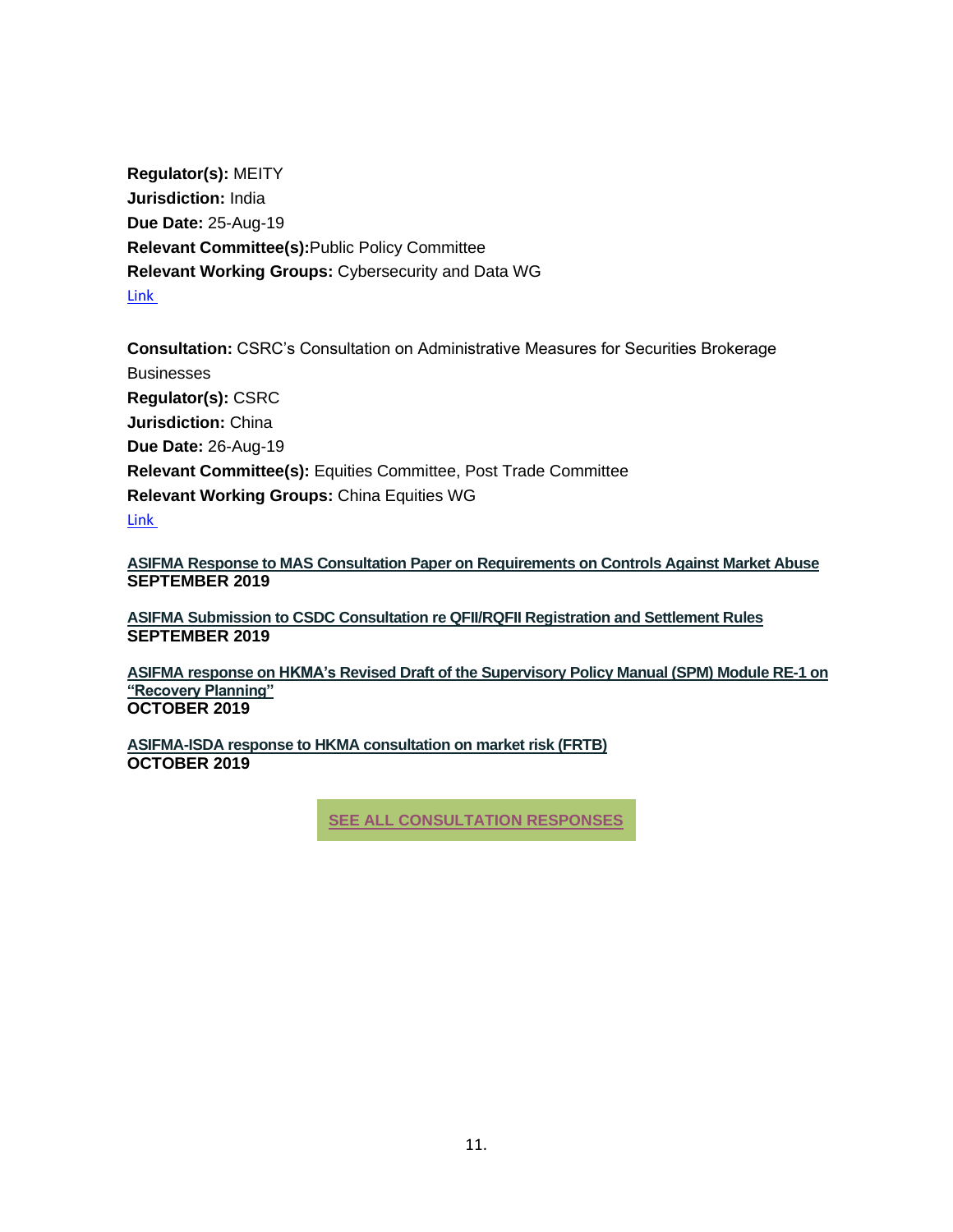**Regulator(s):** MEITY **Jurisdiction:** India **Due Date:** 25-Aug-19 **Relevant Committee(s):**Public Policy Committee **Relevant Working Groups:** Cybersecurity and Data WG [Link](https://t.e2ma.net/click/pgl3zc/5sh94s/xamiqm)

**Consultation:** CSRC's Consultation on Administrative Measures for Securities Brokerage **Businesses Regulator(s):** CSRC **Jurisdiction:** China **Due Date:** 26-Aug-19 **Relevant Committee(s):** Equities Committee, Post Trade Committee **Relevant Working Groups:** China Equities WG [Link](https://t.e2ma.net/click/pgl3zc/5sh94s/d3miqm)

**ASIFMA Response to MAS Consultation Paper on [Requirements](https://www.asifma.org/wp-content/uploads/2019/09/20190905-asifma-response-to-mas-consultation-paper-on-requirements-on-controls-against-market-abuse.pdf) on Controls Against Market Abuse SEPTEMBER 2019**

**ASIFMA Submission to CSDC [Consultation](https://www.asifma.org/wp-content/uploads/2019/09/2019.9.20_asifmaqfiirqfii.pdf) re QFII/RQFII Registration and Settlement Rules SEPTEMBER 2019**

**ASIFMA response on HKMA's Revised Draft of the [Supervisory](https://www.asifma.org/wp-content/uploads/2019/10/asifma-response-to-hkmas-revised-spm-module-re-1-f20191011.pdf) Policy Manual (SPM) Module RE-1 on ["Recovery](https://www.asifma.org/wp-content/uploads/2019/10/asifma-response-to-hkmas-revised-spm-module-re-1-f20191011.pdf) Planning" OCTOBER 2019**

**[ASIFMA-ISDA](https://www.asifma.org/wp-content/uploads/2019/10/isda-asifma-hkma-frtb-consultation-response_final_300919.pdf) response to HKMA consultation on market risk (FRTB) OCTOBER 2019**

**SEE ALL [CONSULTATION](https://t.e2ma.net/click/pgl3zc/5sh94s/tvniqm) RESPONSES**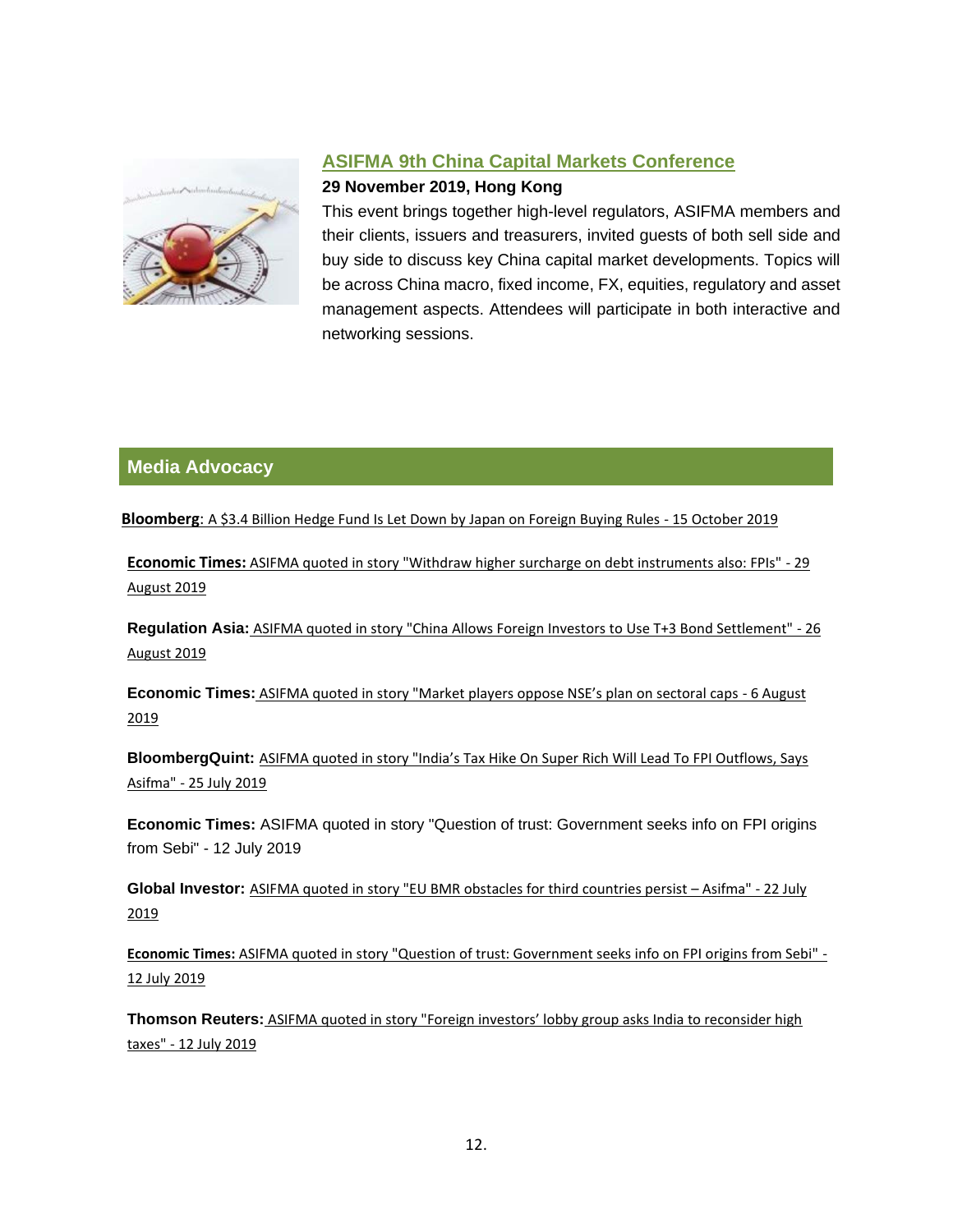

# **[ASIFMA 9th China Capital Markets Conference](https://t.e2ma.net/click/pgl3zc/5sh94s/58piqm)**

#### **29 November 2019, Hong Kong**

This event brings together high-level regulators, ASIFMA members and their clients, issuers and treasurers, invited guests of both sell side and buy side to discuss key China capital market developments. Topics will be across China macro, fixed income, FX, equities, regulatory and asset management aspects. Attendees will participate in both interactive and networking sessions.

# **Media Advocacy**

**Bloomberg**: [A \\$3.4 Billion Hedge Fund Is Let Down by Japan on Foreign Buying Rules](https://www.bloomberg.com/news/articles/2019-10-14/a-3-4-billion-hedge-fund-let-down-by-japan-on-foreign-buying) - 15 October 2019

**[Economic Times:](https://t.e2ma.net/click/pgl3zc/5sh94s/l94iqm)** [ASIFMA quoted in story "Withdraw higher surcharge on debt instruments also: FPIs" -](https://t.e2ma.net/click/pgl3zc/5sh94s/115iqm) 29 [August 2019](https://t.e2ma.net/click/pgl3zc/5sh94s/115iqm)

**[Regulation Asia:](https://t.e2ma.net/click/pgl3zc/5sh94s/hu6iqm)** [ASIFMA quoted in story "China Allows Foreign Investors to Use T+3 Bond Settlement" -](https://t.e2ma.net/click/pgl3zc/5sh94s/xm7iqm) 26 [August 2019](https://t.e2ma.net/click/pgl3zc/5sh94s/xm7iqm)

**[Economic Times:](https://t.e2ma.net/click/pgl3zc/5sh94s/df8iqm)** [ASIFMA quoted in story "Market players oppose NSE's plan on sectoral caps](https://t.e2ma.net/click/pgl3zc/5sh94s/t78iqm) - 6 August [2019](https://t.e2ma.net/click/pgl3zc/5sh94s/t78iqm)

**[BloombergQuint:](https://t.e2ma.net/click/pgl3zc/5sh94s/9z9iqm)** [ASIFMA quoted in story "India's Tax Hike On Super Rich Will Lead To FPI Outflows, Says](https://t.e2ma.net/click/pgl3zc/5sh94s/psajqm)  Asifma" - [25 July 2019](https://t.e2ma.net/click/pgl3zc/5sh94s/psajqm)

**Economic Times:** ASIFMA quoted in story "Question of trust: Government seeks info on FPI origins from Sebi" - 12 July 2019

**[Global Investor:](https://t.e2ma.net/click/pgl3zc/5sh94s/5kbjqm)** ASIFMA quoted in [story "EU BMR obstacles for third countries persist](https://t.e2ma.net/click/pgl3zc/5sh94s/ldcjqm) – Asifma" - 22 July [2019](https://t.e2ma.net/click/pgl3zc/5sh94s/ldcjqm)

**Economic Times:** [ASIFMA quoted in story "Question of trust: Government seeks info on FPI origins from Sebi" -](https://t.e2ma.net/click/pgl3zc/5sh94s/15cjqm) [12 July 2019](https://t.e2ma.net/click/pgl3zc/5sh94s/15cjqm)

**[Thomson Reuters:](https://t.e2ma.net/click/pgl3zc/5sh94s/hydjqm)** [ASIFMA quoted in story "Foreign investors' lobby group asks India to reconsider high](https://t.e2ma.net/click/pgl3zc/5sh94s/xqejqm)  [taxes" -](https://t.e2ma.net/click/pgl3zc/5sh94s/xqejqm) 12 July 2019